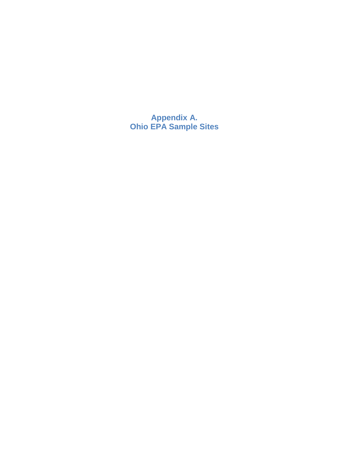**Appendix A. Ohio EPA Sample Sites**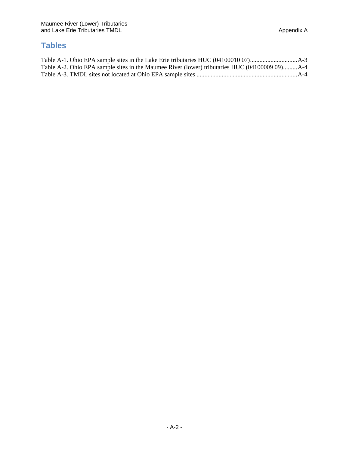## **Tables**

| Table A-2. Ohio EPA sample sites in the Maumee River (lower) tributaries HUC (04100009 09)A-4 |  |
|-----------------------------------------------------------------------------------------------|--|
|                                                                                               |  |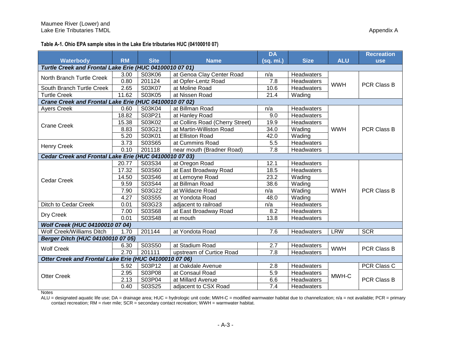**Table A-1. Ohio EPA sample sites in the Lake Erie tributaries HUC (04100010 07)**

|                                                         |           |             |                                 | <b>DA</b> |                   |            | <b>Recreation</b>  |  |
|---------------------------------------------------------|-----------|-------------|---------------------------------|-----------|-------------------|------------|--------------------|--|
| Waterbody                                               | <b>RM</b> | <b>Site</b> | <b>Name</b>                     | (sq. mi.) | <b>Size</b>       | <b>ALU</b> | <b>use</b>         |  |
| Turtle Creek and Frontal Lake Erie (HUC 04100010 07 01) |           |             |                                 |           |                   |            |                    |  |
| North Branch Turtle Creek                               | 3.00      | S03K06      | at Genoa Clay Center Road       | n/a       | Headwaters        | <b>WWH</b> | <b>PCR Class B</b> |  |
|                                                         | 0.80      | 201124      | at Opfer-Lentz Road             | 7.8       | Headwaters        |            |                    |  |
| South Branch Turtle Creek                               | 2.65      | S03K07      | at Moline Road                  | 10.6      | Headwaters        |            |                    |  |
| <b>Turtle Creek</b>                                     | 11.62     | S03K05      | at Nissen Road                  | 21.4      | Wading            |            |                    |  |
| Crane Creek and Frontal Lake Erie (HUC 04100010 07 02)  |           |             |                                 |           |                   |            |                    |  |
| <b>Ayers Creek</b>                                      | 0.60      | S03K04      | at Billman Road                 | n/a       | Headwaters        |            | <b>PCR Class B</b> |  |
|                                                         | 18.82     | S03P21      | at Hanley Road                  | 9.0       | <b>Headwaters</b> |            |                    |  |
| <b>Crane Creek</b>                                      | 15.38     | S03K02      | at Collins Road (Cherry Street) | 19.9      | Headwaters        |            |                    |  |
|                                                         | 8.83      | S03G21      | at Martin-Williston Road        | 34.0      | Wading            | <b>WWH</b> |                    |  |
|                                                         | 5.20      | S03K01      | at Elliston Road                | 42.0      | Wading            |            |                    |  |
| <b>Henry Creek</b>                                      | 3.73      | S03S65      | at Cummins Road                 | 5.5       | Headwaters        |            |                    |  |
|                                                         | 0.10      | 201118      | near mouth (Bradner Road)       | 7.8       | Headwaters        |            |                    |  |
| Cedar Creek and Frontal Lake Erie (HUC 04100010 07 03)  |           |             |                                 |           |                   |            |                    |  |
|                                                         | 20.77     | S03S34      | at Oregon Road                  | 12.1      | Headwaters        | <b>WWH</b> | <b>PCR Class B</b> |  |
|                                                         | 17.32     | S03S60      | at East Broadway Road           | 18.5      | Headwaters        |            |                    |  |
| <b>Cedar Creek</b>                                      | 14.50     | S03S46      | at Lemoyne Road                 | 23.2      | Wading            |            |                    |  |
|                                                         | 9.59      | S03S44      | at Billman Road                 | 38.6      | Wading            |            |                    |  |
|                                                         | 7.90      | S03G22      | at Wildacre Road                | n/a       | Wading            |            |                    |  |
|                                                         | 4.27      | S03S55      | at Yondota Road                 | 48.0      | Wading            |            |                    |  |
| Ditch to Cedar Creek                                    | 0.01      | S03G23      | adjacent to railroad            | n/a       | <b>Headwaters</b> |            |                    |  |
|                                                         | 7.00      | S03S68      | at East Broadway Road           | 8.2       | <b>Headwaters</b> |            |                    |  |
| Dry Creek                                               | 0.01      | S03S48      | at mouth                        | 13.8      | Headwaters        |            |                    |  |
| Wolf Creek (HUC 04100010 07 04)                         |           |             |                                 |           |                   |            |                    |  |
| Wolf Creek/Williams Ditch                               | 1.70      | 201144      | at Yondota Road                 | 7.6       | Headwaters        | <b>LRW</b> | <b>SCR</b>         |  |
| Berger Ditch (HUC 04100010 07 05)                       |           |             |                                 |           |                   |            |                    |  |
|                                                         | 6.30      | S03S50      | at Stadium Road                 | 2.7       | Headwaters        | <b>WWH</b> | <b>PCR Class B</b> |  |
| <b>Wolf Creek</b>                                       | 2.70      | 201111      | upstream of Curtice Road        | 7.8       | <b>Headwaters</b> |            |                    |  |
| Otter Creek and Frontal Lake Erie (HUC 04100010 07 06)  |           |             |                                 |           |                   |            |                    |  |
|                                                         | 5.92      | S03P12      | at Oakdale Avenue               | 2.8       | Headwaters        | MWH-C      | <b>PCR Class C</b> |  |
|                                                         | 2.95      | S03P08      | at Consaul Road                 | 5.9       | Headwaters        |            |                    |  |
| <b>Otter Creek</b>                                      | 2.13      | S03P04      | at Millard Avenue               | 6.6       | Headwaters        |            | <b>PCR Class B</b> |  |
|                                                         | 0.40      | S03S25      | adjacent to CSX Road            | 7.4       | Headwaters        |            |                    |  |

Notes

ALU = designated aquatic life use; DA = drainage area; HUC = hydrologic unit code; MWH-C = modified warmwater habitat due to channelization; n/a = not available; PCR = primary contact recreation; RM = river mile; SCR = secondary contact recreation; WWH = warmwater habitat.